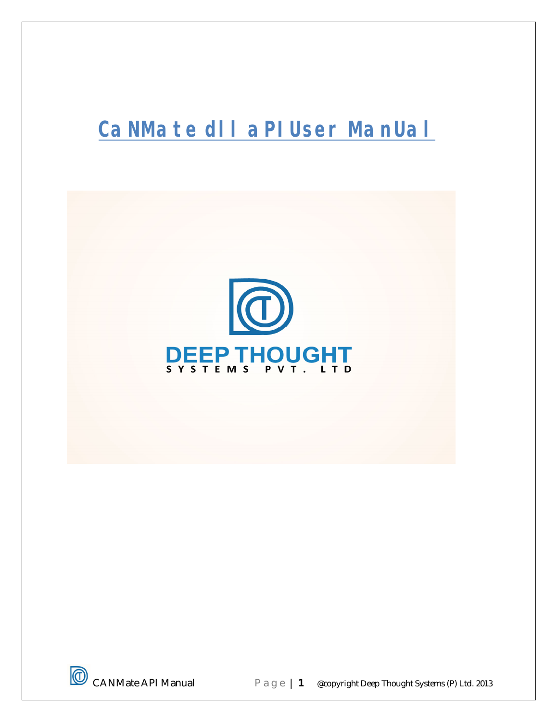# **CaNMate dll aPI User ManUal**



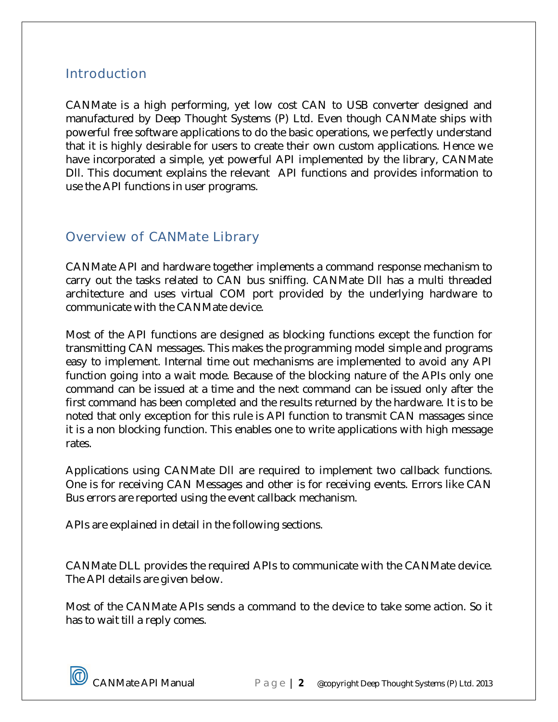# **Introduction**

CANMate is a high performing, yet low cost CAN to USB converter designed and manufactured by Deep Thought Systems (P) Ltd. Even though CANMate ships with powerful free software applications to do the basic operations, we perfectly understand that it is highly desirable for users to create their own custom applications. Hence we have incorporated a simple, yet powerful API implemented by the library, CANMate Dll. This document explains the relevant API functions and provides information to use the API functions in user programs.

# Overview of CANMate Library

CANMate API and hardware together implements a command response mechanism to carry out the tasks related to CAN bus sniffing. CANMate Dll has a multi threaded architecture and uses virtual COM port provided by the underlying hardware to communicate with the CANMate device.

Most of the API functions are designed as blocking functions except the function for transmitting CAN messages. This makes the programming model simple and programs easy to implement. Internal time out mechanisms are implemented to avoid any API function going into a wait mode. Because of the blocking nature of the APIs only one command can be issued at a time and the next command can be issued only after the first command has been completed and the results returned by the hardware. It is to be noted that only exception for this rule is API function to transmit CAN massages since it is a non blocking function. This enables one to write applications with high message rates.

Applications using CANMate Dll are required to implement two callback functions. One is for receiving CAN Messages and other is for receiving events. Errors like CAN Bus errors are reported using the event callback mechanism.

APIs are explained in detail in the following sections.

CANMate DLL provides the required APIs to communicate with the CANMate device. The API details are given below.

Most of the CANMate APIs sends a command to the device to take some action. So it has to wait till a reply comes.

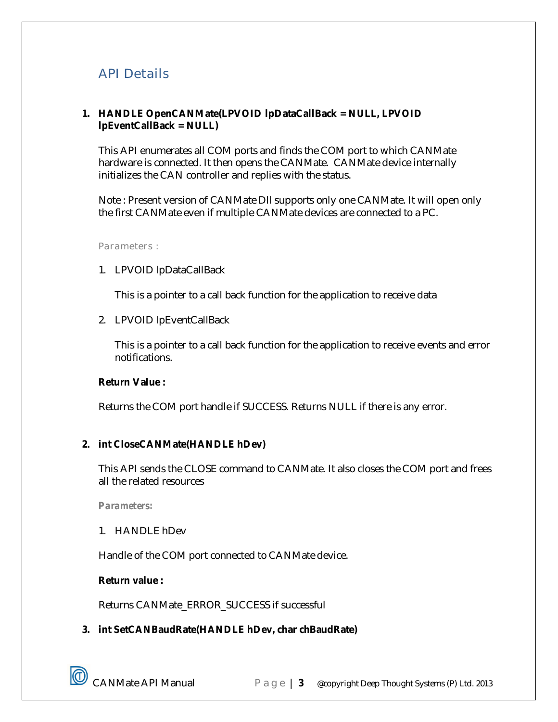# API Details

## **1. HANDLE OpenCANMate(LPVOID lpDataCallBack = NULL, LPVOID lpEventCallBack = NULL)**

This API enumerates all COM ports and finds the COM port to which CANMate hardware is connected. It then opens the CANMate. CANMate device internally initializes the CAN controller and replies with the status.

Note : Present version of CANMate Dll supports only one CANMate. It will open only the first CANMate even if multiple CANMate devices are connected to a PC.

*Parameters :*

1. LPVOID lpDataCallBack

This is a pointer to a call back function for the application to receive data

2. LPVOID lpEventCallBack

This is a pointer to a call back function for the application to receive events and error notifications.

#### **Return Value :**

Returns the COM port handle if SUCCESS. Returns NULL if there is any error.

# **2. int CloseCANMate(HANDLE hDev)**

This API sends the CLOSE command to CANMate. It also closes the COM port and frees all the related resources

*Parameters:*

1. HANDLE hDev

Handle of the COM port connected to CANMate device.

#### **Return value :**

Returns CANMate\_ERROR\_SUCCESS if successful

# **3. int SetCANBaudRate(HANDLE hDev, char chBaudRate)**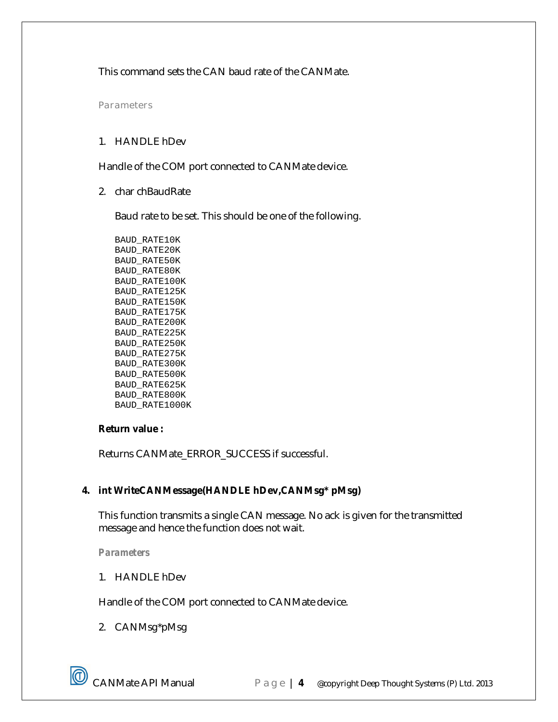This command sets the CAN baud rate of the CANMate.

*Parameters*

# 1. HANDLE hDev

Handle of the COM port connected to CANMate device.

2. char chBaudRate

Baud rate to be set. This should be one of the following.

BAUD\_RATE10K BAUD\_RATE20K BAUD\_RATE50K BAUD\_RATE80K BAUD\_RATE100K BAUD\_RATE125K BAUD\_RATE150K BAUD\_RATE175K BAUD\_RATE200K BAUD\_RATE225K BAUD\_RATE250K BAUD\_RATE275K BAUD\_RATE300K BAUD\_RATE500K BAUD\_RATE625K BAUD\_RATE800K BAUD\_RATE1000K

#### **Return value :**

Returns CANMate\_ERROR\_SUCCESS if successful.

# **4. int WriteCANMessage(HANDLE hDev,CANMsg\* pMsg)**

This function transmits a single CAN message. No ack is given for the transmitted message and hence the function does not wait.

*Parameters*

1. HANDLE hDev

Handle of the COM port connected to CANMate device.

2. CANMsg\*pMsg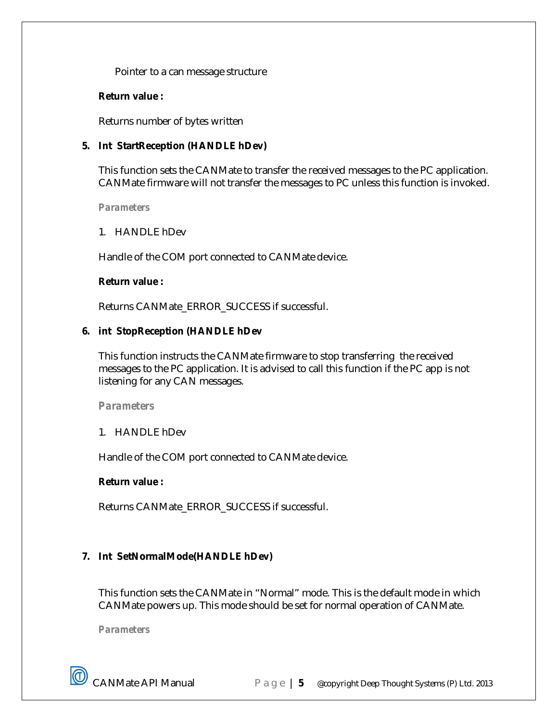Pointer to a can message structure

#### **Return value :**

Returns number of bytes written

# **5. Int StartReception (HANDLE hDev)**

This function sets the CANMate to transfer the received messages to the PC application. CANMate firmware will not transfer the messages to PC unless this function is invoked.

#### *Parameters*

1. HANDLE hDev

Handle of the COM port connected to CANMate device.

#### **Return value :**

Returns CANMate\_ERROR\_SUCCESS if successful.

#### **6. int StopReception (HANDLE hDev**

This function instructs the CANMate firmware to stop transferring the received messages to the PC application. It is advised to call this function if the PC app is not listening for any CAN messages.

#### *Parameters*

1. HANDLE hDev

Handle of the COM port connected to CANMate device.

#### **Return value :**

Returns CANMate\_ERROR\_SUCCESS if successful.

# **7. Int SetNormalMode(HANDLE hDev)**

This function sets the CANMate in "Normal" mode. This is the default mode in which CANMate powers up. This mode should be set for normal operation of CANMate.

*Parameters*

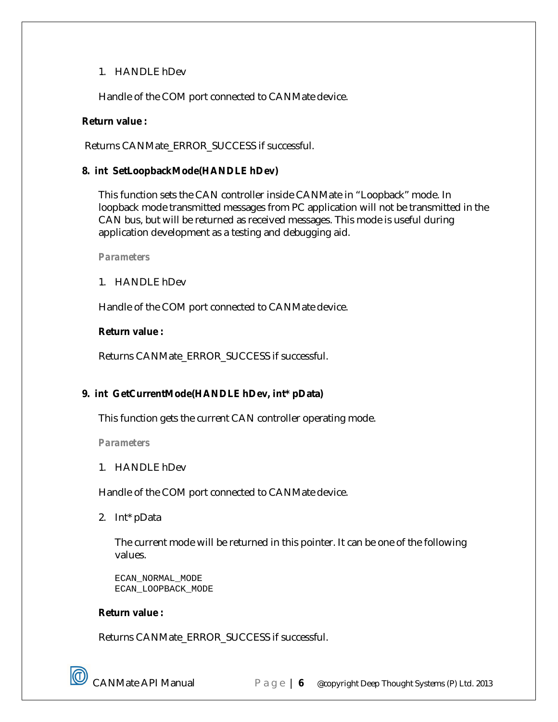# 1. HANDLE hDev

Handle of the COM port connected to CANMate device.

# **Return value :**

Returns CANMate\_ERROR\_SUCCESS if successful.

# **8. int SetLoopbackMode(HANDLE hDev)**

This function sets the CAN controller inside CANMate in "Loopback" mode. In loopback mode transmitted messages from PC application will not be transmitted in the CAN bus, but will be returned as received messages. This mode is useful during application development as a testing and debugging aid.

*Parameters*

1. HANDLE hDev

Handle of the COM port connected to CANMate device.

#### **Return value :**

Returns CANMate\_ERROR\_SUCCESS if successful.

# **9. int GetCurrentMode(HANDLE hDev, int\* pData)**

This function gets the current CAN controller operating mode.

*Parameters*

1. HANDLE hDev

Handle of the COM port connected to CANMate device.

2. Int\* pData

The current mode will be returned in this pointer. It can be one of the following values.

```
ECAN_NORMAL_MODE 
ECAN_LOOPBACK_MODE
```
# **Return value :**

Returns CANMate\_ERROR\_SUCCESS if successful.

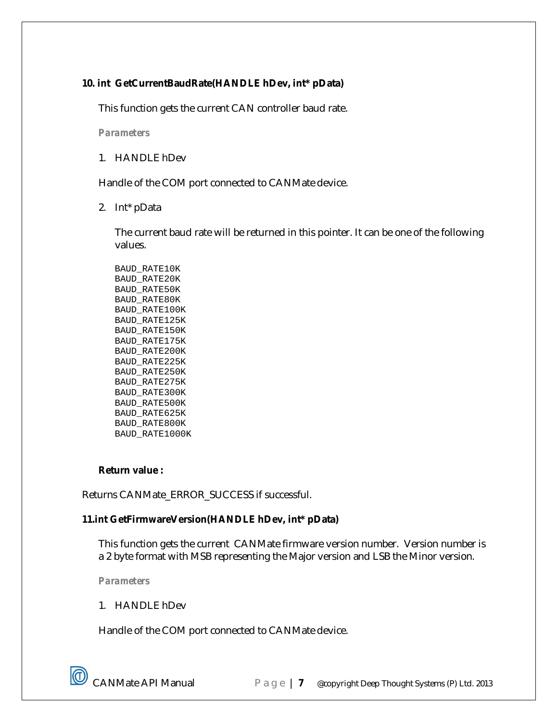# **10. int GetCurrentBaudRate(HANDLE hDev, int\* pData)**

This function gets the current CAN controller baud rate.

*Parameters*

1. HANDLE hDev

Handle of the COM port connected to CANMate device.

2. Int\* pData

The current baud rate will be returned in this pointer. It can be one of the following values.

BAUD\_RATE10K BAUD\_RATE20K BAUD\_RATE50K BAUD\_RATE80K BAUD\_RATE100K BAUD\_RATE125K BAUD\_RATE150K BAUD\_RATE175K BAUD\_RATE200K BAUD\_RATE225K BAUD\_RATE250K BAUD\_RATE275K BAUD\_RATE300K BAUD\_RATE500K BAUD\_RATE625K BAUD\_RATE800K BAUD\_RATE1000K

#### **Return value :**

Returns CANMate\_ERROR\_SUCCESS if successful.

# **11.int GetFirmwareVersion(HANDLE hDev, int\* pData)**

This function gets the current CANMate firmware version number. Version number is a 2 byte format with MSB representing the Major version and LSB the Minor version.

*Parameters*

1. HANDLE hDev

Handle of the COM port connected to CANMate device.

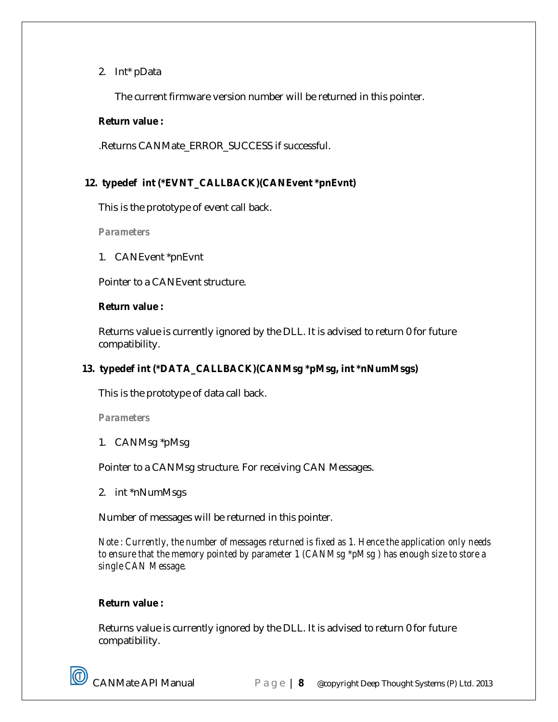# 2. Int\* pData

The current firmware version number will be returned in this pointer.

# **Return value :**

.Returns CANMate\_ERROR\_SUCCESS if successful.

# **12. typedef int (\*EVNT\_CALLBACK)(CANEvent \*pnEvnt)**

This is the prototype of event call back.

*Parameters*

1. CANEvent \*pnEvnt

Pointer to a CANEvent structure.

#### **Return value :**

Returns value is currently ignored by the DLL. It is advised to return 0 for future compatibility.

# **13. typedef int (\*DATA\_CALLBACK)(CANMsg \*pMsg, int \*nNumMsgs)**

This is the prototype of data call back.

*Parameters*

1. CANMsg \*pMsg

Pointer to a CANMsg structure. For receiving CAN Messages.

2. int \*nNumMsgs

Number of messages will be returned in this pointer.

*Note : Currently, the number of messages returned is fixed as 1. Hence the application only needs to ensure that the memory pointed by parameter 1 (CANMsg \*pMsg ) has enough size to store a single CAN Message.*

# **Return value :**

Returns value is currently ignored by the DLL. It is advised to return 0 for future compatibility.

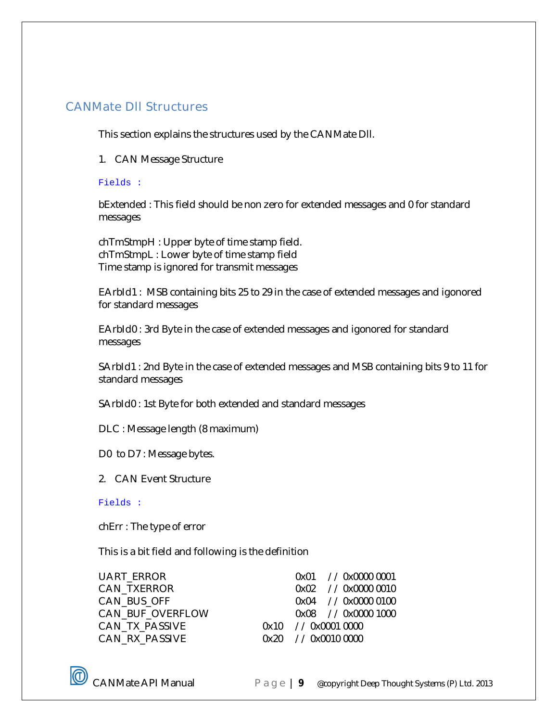# CANMate Dll Structures

This section explains the structures used by the CANMate Dll.

1. CAN Message Structure

# Fields :

bExtended : This field should be non zero for extended messages and 0 for standard messages

chTmStmpH : Upper byte of time stamp field. chTmStmpL : Lower byte of time stamp field Time stamp is ignored for transmit messages

EArbId1 : MSB containing bits 25 to 29 in the case of extended messages and igonored for standard messages

EArbId0 : 3rd Byte in the case of extended messages and igonored for standard messages

SArbId1 : 2nd Byte in the case of extended messages and MSB containing bits 9 to 11 for standard messages

SArbId0 : 1st Byte for both extended and standard messages

DLC : Message length (8 maximum)

D0 to D7 : Message bytes.

2. CAN Event Structure

#### Fields :

chErr : The type of error

This is a bit field and following is the definition

| UART ERROR       |  | 0x01 // 0x0000 0001 |
|------------------|--|---------------------|
|                  |  |                     |
| CAN_TXERROR      |  | 0x02 // 0x0000 0010 |
| CAN BUS OFF      |  | 0x04 // 0x0000 0100 |
| CAN BUF OVERFLOW |  | 0x08 // 0x0000 1000 |
| CAN_TX_PASSIVE   |  | 0x10 // 0x0001 0000 |
| CAN RX PASSIVE   |  | 0x20 // 0x0010 0000 |
|                  |  |                     |